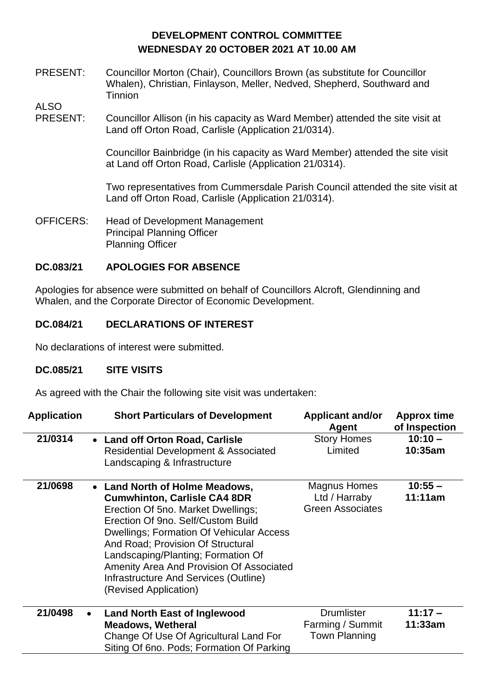# **DEVELOPMENT CONTROL COMMITTEE WEDNESDAY 20 OCTOBER 2021 AT 10.00 AM**

PRESENT: Councillor Morton (Chair), Councillors Brown (as substitute for Councillor Whalen), Christian, Finlayson, Meller, Nedved, Shepherd, Southward and Tinnion

ALSO

PRESENT: Councillor Allison (in his capacity as Ward Member) attended the site visit at Land off Orton Road, Carlisle (Application 21/0314).

> Councillor Bainbridge (in his capacity as Ward Member) attended the site visit at Land off Orton Road, Carlisle (Application 21/0314).

Two representatives from Cummersdale Parish Council attended the site visit at Land off Orton Road, Carlisle (Application 21/0314).

OFFICERS: Head of Development Management Principal Planning Officer Planning Officer

## **DC.083/21 APOLOGIES FOR ABSENCE**

Apologies for absence were submitted on behalf of Councillors Alcroft, Glendinning and Whalen, and the Corporate Director of Economic Development.

## **DC.084/21 DECLARATIONS OF INTEREST**

No declarations of interest were submitted.

#### **DC.085/21 SITE VISITS**

As agreed with the Chair the following site visit was undertaken:

| <b>Application</b> | <b>Short Particulars of Development</b>                                                                                                                                                                                                                                                                                                                                                       | <b>Applicant and/or</b><br>Agent                              | <b>Approx time</b><br>of Inspection |
|--------------------|-----------------------------------------------------------------------------------------------------------------------------------------------------------------------------------------------------------------------------------------------------------------------------------------------------------------------------------------------------------------------------------------------|---------------------------------------------------------------|-------------------------------------|
| 21/0314            | • Land off Orton Road, Carlisle<br><b>Residential Development &amp; Associated</b><br>Landscaping & Infrastructure                                                                                                                                                                                                                                                                            | <b>Story Homes</b><br>Limited                                 | $10:10 -$<br>10:35am                |
| 21/0698            | • Land North of Holme Meadows,<br><b>Cumwhinton, Carlisle CA4 8DR</b><br>Erection Of 5no. Market Dwellings;<br>Erection Of 9no. Self/Custom Build<br><b>Dwellings: Formation Of Vehicular Access</b><br>And Road; Provision Of Structural<br>Landscaping/Planting; Formation Of<br>Amenity Area And Provision Of Associated<br>Infrastructure And Services (Outline)<br>(Revised Application) | Magnus Homes<br>Ltd / Harraby<br><b>Green Associates</b>      | $10:55 -$<br>11:11am                |
| 21/0498            | <b>Land North East of Inglewood</b><br>$\bullet$<br><b>Meadows, Wetheral</b><br>Change Of Use Of Agricultural Land For<br>Siting Of 6no. Pods; Formation Of Parking                                                                                                                                                                                                                           | <b>Drumlister</b><br>Farming / Summit<br><b>Town Planning</b> | $11:17 -$<br>11:33am                |